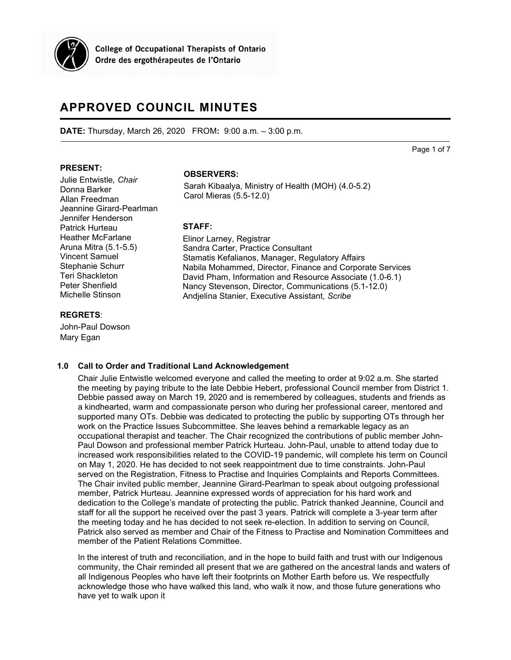

**College of Occupational Therapists of Ontario** Ordre des ergothérapeutes de l'Ontario

# **APPROVED COUNCIL MINUTES**

**DATE:** Thursday, March 26, 2020 FROM**:** 9:00 a.m. – 3:00 p.m.

Page 1 of 7

## **PRESENT:**

Julie Entwistle*, Chair* Donna Barker Allan Freedman Jeannine Girard-Pearlman Jennifer Henderson Patrick Hurteau Heather McFarlane Aruna Mitra (5.1-5.5) Vincent Samuel Stephanie Schurr Teri Shackleton Peter Shenfield Michelle Stinson

## **REGRETS**:

John-Paul Dowson Mary Egan

# **OBSERVERS:**

Sarah Kibaalya, Ministry of Health (MOH) (4.0-5.2) Carol Mieras (5.5-12.0)

## **STAFF:**

Elinor Larney, Registrar Sandra Carter, Practice Consultant Stamatis Kefalianos, Manager, Regulatory Affairs Nabila Mohammed, Director, Finance and Corporate Services David Pham, Information and Resource Associate (1.0-6.1) Nancy Stevenson, Director, Communications (5.1-12.0) Andjelina Stanier, Executive Assistant, *Scribe*

#### **1.0 Call to Order and Traditional Land Acknowledgement**

Chair Julie Entwistle welcomed everyone and called the meeting to order at 9:02 a.m. She started the meeting by paying tribute to the late Debbie Hebert, professional Council member from District 1. Debbie passed away on March 19, 2020 and is remembered by colleagues, students and friends as a kindhearted, warm and compassionate person who during her professional career, mentored and supported many OTs. Debbie was dedicated to protecting the public by supporting OTs through her work on the Practice Issues Subcommittee. She leaves behind a remarkable legacy as an occupational therapist and teacher. The Chair recognized the contributions of public member John-Paul Dowson and professional member Patrick Hurteau. John-Paul, unable to attend today due to increased work responsibilities related to the COVID-19 pandemic, will complete his term on Council on May 1, 2020. He has decided to not seek reappointment due to time constraints. John-Paul served on the Registration, Fitness to Practise and Inquiries Complaints and Reports Committees. The Chair invited public member, Jeannine Girard-Pearlman to speak about outgoing professional member, Patrick Hurteau. Jeannine expressed words of appreciation for his hard work and dedication to the College's mandate of protecting the public. Patrick thanked Jeannine, Council and staff for all the support he received over the past 3 years. Patrick will complete a 3-year term after the meeting today and he has decided to not seek re-election. In addition to serving on Council, Patrick also served as member and Chair of the Fitness to Practise and Nomination Committees and member of the Patient Relations Committee.

In the interest of truth and reconciliation, and in the hope to build faith and trust with our Indigenous community, the Chair reminded all present that we are gathered on the ancestral lands and waters of all Indigenous Peoples who have left their footprints on Mother Earth before us. We respectfully acknowledge those who have walked this land, who walk it now, and those future generations who have yet to walk upon it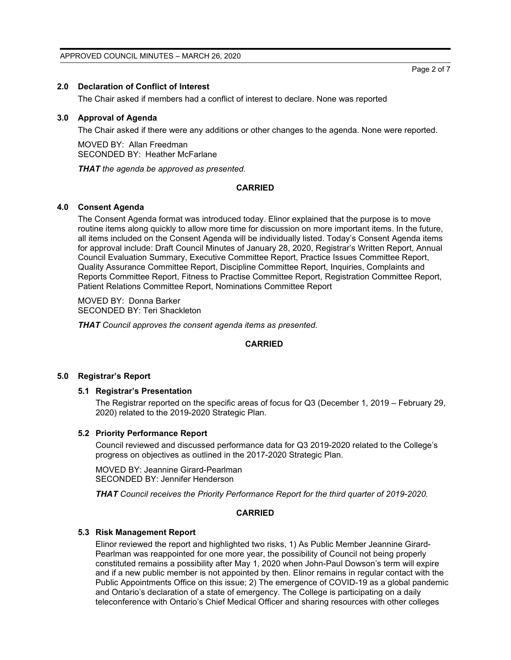# **2.0 Declaration of Conflict of Interest**

The Chair asked if members had a conflict of interest to declare. None was reported

# **3.0 Approval of Agenda**

The Chair asked if there were any additions or other changes to the agenda. None were reported.

MOVED BY: Allan Freedman SECONDED BY: Heather McFarlane

*THAT the agenda be approved as presented.*

# **CARRIED**

# **4.0 Consent Agenda**

The Consent Agenda format was introduced today. Elinor explained that the purpose is to move routine items along quickly to allow more time for discussion on more important items. In the future, all items included on the Consent Agenda will be individually listed. Today's Consent Agenda items for approval include: Draft Council Minutes of January 28, 2020, Registrar's Written Report, Annual Council Evaluation Summary, Executive Committee Report, Practice Issues Committee Report, Quality Assurance Committee Report, Discipline Committee Report, Inquiries, Complaints and Reports Committee Report, Fitness to Practise Committee Report, Registration Committee Report, Patient Relations Committee Report, Nominations Committee Report

MOVED BY: Donna Barker SECONDED BY: Teri Shackleton

*THAT Council approves the consent agenda items as presented.*

# **CARRIED**

#### **5.0 Registrar's Report**

# **5.1 Registrar's Presentation**

The Registrar reported on the specific areas of focus for Q3 (December 1, 2019 – February 29, 2020) related to the 2019-2020 Strategic Plan.

#### **5.2 Priority Performance Report**

Council reviewed and discussed performance data for Q3 2019-2020 related to the College's progress on objectives as outlined in the 2017-2020 Strategic Plan.

MOVED BY: Jeannine Girard-Pearlman SECONDED BY: Jennifer Henderson

*THAT Council receives the Priority Performance Report for the third quarter of 2019-2020.*

#### **CARRIED**

#### **5.3 Risk Management Report**

Elinor reviewed the report and highlighted two risks, 1) As Public Member Jeannine Girard-Pearlman was reappointed for one more year, the possibility of Council not being properly constituted remains a possibility after May 1, 2020 when John-Paul Dowson's term will expire and if a new public member is not appointed by then. Elinor remains in regular contact with the Public Appointments Office on this issue; 2) The emergence of COVID-19 as a global pandemic and Ontario's declaration of a state of emergency. The College is participating on a daily teleconference with Ontario's Chief Medical Officer and sharing resources with other colleges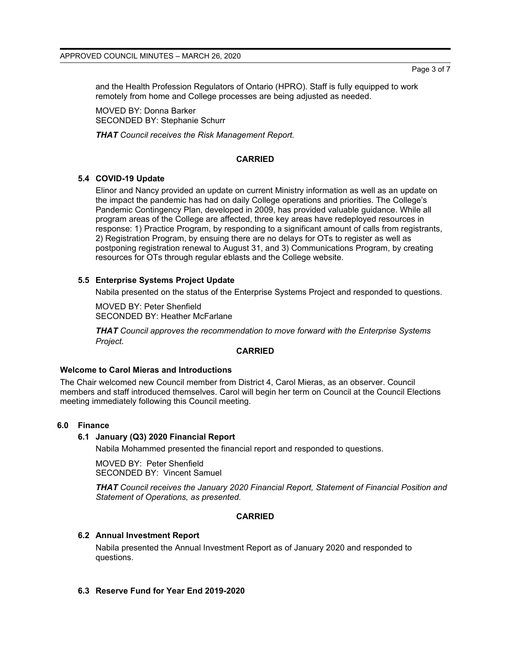and the Health Profession Regulators of Ontario (HPRO). Staff is fully equipped to work remotely from home and College processes are being adjusted as needed.

MOVED BY: Donna Barker SECONDED BY: Stephanie Schurr

*THAT Council receives the Risk Management Report.*

# **CARRIED**

# **5.4 COVID-19 Update**

Elinor and Nancy provided an update on current Ministry information as well as an update on the impact the pandemic has had on daily College operations and priorities. The College's Pandemic Contingency Plan, developed in 2009, has provided valuable guidance. While all program areas of the College are affected, three key areas have redeployed resources in response: 1) Practice Program, by responding to a significant amount of calls from registrants, 2) Registration Program, by ensuing there are no delays for OTs to register as well as postponing registration renewal to August 31, and 3) Communications Program, by creating resources for OTs through regular eblasts and the College website.

# **5.5 Enterprise Systems Project Update**

Nabila presented on the status of the Enterprise Systems Project and responded to questions.

MOVED BY: Peter Shenfield SECONDED BY: Heather McFarlane

*THAT Council approves the recommendation to move forward with the Enterprise Systems Project.*

#### **CARRIED**

#### **Welcome to Carol Mieras and Introductions**

The Chair welcomed new Council member from District 4, Carol Mieras, as an observer. Council members and staff introduced themselves. Carol will begin her term on Council at the Council Elections meeting immediately following this Council meeting.

# **6.0 Finance**

# **6.1 January (Q3) 2020 Financial Report**

Nabila Mohammed presented the financial report and responded to questions.

MOVED BY: Peter Shenfield SECONDED BY: Vincent Samuel

*THAT Council receives the January 2020 Financial Report, Statement of Financial Position and Statement of Operations, as presented.*

#### **CARRIED**

# **6.2 Annual Investment Report**

Nabila presented the Annual Investment Report as of January 2020 and responded to questions.

# **6.3 Reserve Fund for Year End 2019-2020**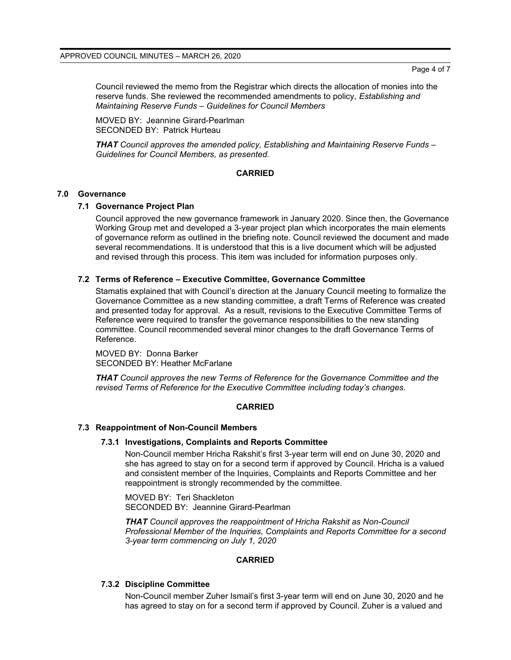Page 4 of 7

Council reviewed the memo from the Registrar which directs the allocation of monies into the reserve funds. She reviewed the recommended amendments to policy, *Establishing and Maintaining Reserve Funds – Guidelines for Council Members*

MOVED BY: Jeannine Girard-Pearlman SECONDED BY: Patrick Hurteau

*THAT Council approves the amended policy, Establishing and Maintaining Reserve Funds – Guidelines for Council Members, as presented.*

#### **CARRIED**

#### **7.0 Governance**

## **7.1 Governance Project Plan**

Council approved the new governance framework in January 2020. Since then, the Governance Working Group met and developed a 3-year project plan which incorporates the main elements of governance reform as outlined in the briefing note. Council reviewed the document and made several recommendations. It is understood that this is a live document which will be adjusted and revised through this process. This item was included for information purposes only.

## **7.2 Terms of Reference – Executive Committee, Governance Committee**

Stamatis explained that with Council's direction at the January Council meeting to formalize the Governance Committee as a new standing committee, a draft Terms of Reference was created and presented today for approval. As a result, revisions to the Executive Committee Terms of Reference were required to transfer the governance responsibilities to the new standing committee. Council recommended several minor changes to the draft Governance Terms of Reference.

MOVED BY: Donna Barker SECONDED BY: Heather McFarlane

*THAT Council approves the new Terms of Reference for the Governance Committee and the revised Terms of Reference for the Executive Committee including today's changes.*

#### **CARRIED**

#### **7.3 Reappointment of Non-Council Members**

#### **7.3.1 Investigations, Complaints and Reports Committee**

Non-Council member Hricha Rakshit's first 3-year term will end on June 30, 2020 and she has agreed to stay on for a second term if approved by Council. Hricha is a valued and consistent member of the Inquiries, Complaints and Reports Committee and her reappointment is strongly recommended by the committee.

MOVED BY: Teri Shackleton SECONDED BY: Jeannine Girard-Pearlman

*THAT Council approves the reappointment of Hricha Rakshit as Non-Council Professional Member of the Inquiries, Complaints and Reports Committee for a second 3-year term commencing on July 1, 2020*

# **CARRIED**

#### **7.3.2 Discipline Committee**

Non-Council member Zuher Ismail's first 3-year term will end on June 30, 2020 and he has agreed to stay on for a second term if approved by Council. Zuher is a valued and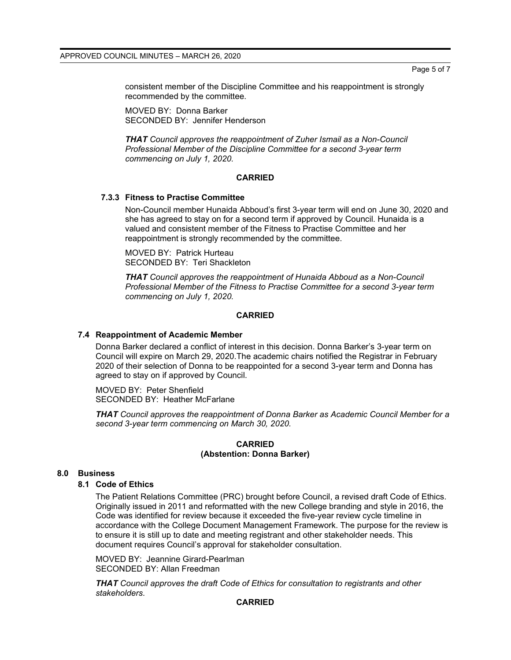Page 5 of 7

consistent member of the Discipline Committee and his reappointment is strongly recommended by the committee.

MOVED BY: Donna Barker SECONDED BY: Jennifer Henderson

*THAT Council approves the reappointment of Zuher Ismail as a Non-Council Professional Member of the Discipline Committee for a second 3-year term commencing on July 1, 2020.*

# **CARRIED**

# **7.3.3 Fitness to Practise Committee**

Non-Council member Hunaida Abboud's first 3-year term will end on June 30, 2020 and she has agreed to stay on for a second term if approved by Council. Hunaida is a valued and consistent member of the Fitness to Practise Committee and her reappointment is strongly recommended by the committee.

MOVED BY: Patrick Hurteau SECONDED BY: Teri Shackleton

*THAT Council approves the reappointment of Hunaida Abboud as a Non-Council Professional Member of the Fitness to Practise Committee for a second 3-year term commencing on July 1, 2020.*

#### **CARRIED**

## **7.4 Reappointment of Academic Member**

Donna Barker declared a conflict of interest in this decision. Donna Barker's 3-year term on Council will expire on March 29, 2020.The academic chairs notified the Registrar in February 2020 of their selection of Donna to be reappointed for a second 3-year term and Donna has agreed to stay on if approved by Council.

MOVED BY: Peter Shenfield SECONDED BY: Heather McFarlane

*THAT Council approves the reappointment of Donna Barker as Academic Council Member for a second 3-year term commencing on March 30, 2020.*

## **CARRIED (Abstention: Donna Barker)**

#### **8.0 Business**

#### **8.1 Code of Ethics**

The Patient Relations Committee (PRC) brought before Council, a revised draft Code of Ethics. Originally issued in 2011 and reformatted with the new College branding and style in 2016, the Code was identified for review because it exceeded the five-year review cycle timeline in accordance with the College Document Management Framework. The purpose for the review is to ensure it is still up to date and meeting registrant and other stakeholder needs. This document requires Council's approval for stakeholder consultation.

MOVED BY: Jeannine Girard-Pearlman SECONDED BY: Allan Freedman

*THAT Council approves the draft Code of Ethics for consultation to registrants and other stakeholders.*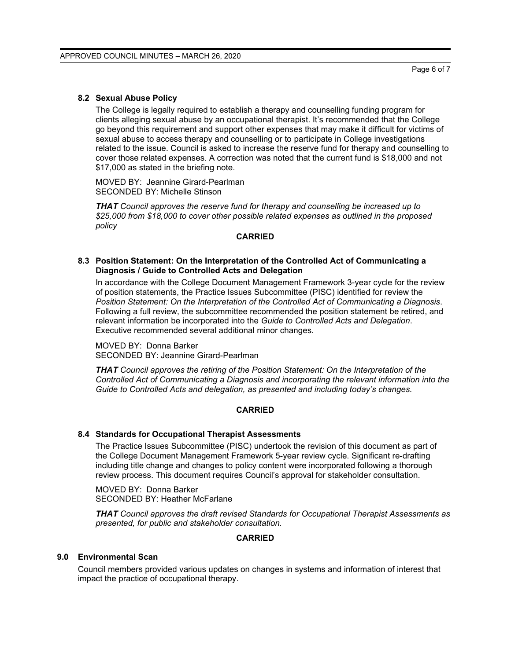#### **8.2 Sexual Abuse Policy**

The College is legally required to establish a therapy and counselling funding program for clients alleging sexual abuse by an occupational therapist. It's recommended that the College go beyond this requirement and support other expenses that may make it difficult for victims of sexual abuse to access therapy and counselling or to participate in College investigations related to the issue. Council is asked to increase the reserve fund for therapy and counselling to cover those related expenses. A correction was noted that the current fund is \$18,000 and not \$17,000 as stated in the briefing note.

MOVED BY: Jeannine Girard-Pearlman SECONDED BY: Michelle Stinson

*THAT Council approves the reserve fund for therapy and counselling be increased up to \$25,000 from \$18,000 to cover other possible related expenses as outlined in the proposed policy*

#### **CARRIED**

## **8.3 Position Statement: On the Interpretation of the Controlled Act of Communicating a Diagnosis / Guide to Controlled Acts and Delegation**

In accordance with the College Document Management Framework 3-year cycle for the review of position statements, the Practice Issues Subcommittee (PISC) identified for review the *Position Statement: On the Interpretation of the Controlled Act of Communicating a Diagnosis*. Following a full review, the subcommittee recommended the position statement be retired, and relevant information be incorporated into the *Guide to Controlled Acts and Delegation*. Executive recommended several additional minor changes.

MOVED BY: Donna Barker SECONDED BY: Jeannine Girard-Pearlman

*THAT Council approves the retiring of the Position Statement: On the Interpretation of the Controlled Act of Communicating a Diagnosis and incorporating the relevant information into the Guide to Controlled Acts and delegation, as presented and including today's changes.*

# **CARRIED**

#### **8.4 Standards for Occupational Therapist Assessments**

The Practice Issues Subcommittee (PISC) undertook the revision of this document as part of the College Document Management Framework 5-year review cycle. Significant re-drafting including title change and changes to policy content were incorporated following a thorough review process. This document requires Council's approval for stakeholder consultation.

MOVED BY: Donna Barker SECONDED BY: Heather McFarlane

*THAT Council approves the draft revised Standards for Occupational Therapist Assessments as presented, for public and stakeholder consultation.*

#### **CARRIED**

# **9.0 Environmental Scan**

Council members provided various updates on changes in systems and information of interest that impact the practice of occupational therapy.